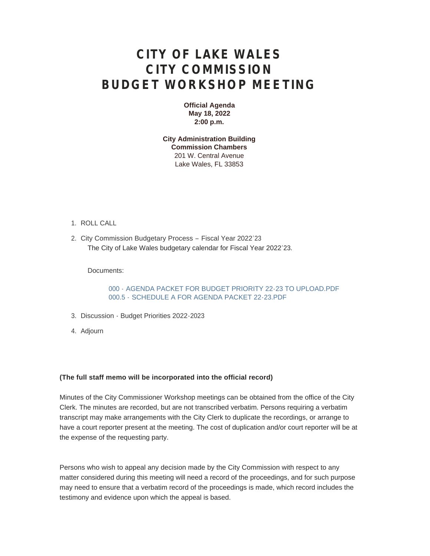## **CITY OF LAKE WALES CITY COMMISSION BUDGET WORKSHOP MEETING**

**Official Agenda May 18, 2022 2:00 p.m.**

**City Administration Building Commission Chambers** 201 W. Central Avenue Lake Wales, FL 33853

- 1. ROLL CALL
- 2. City Commission Budgetary Process Fiscal Year 2022'23 The City of Lake Wales budgetary calendar for Fiscal Year 2022'23.

Documents:

000 - [AGENDA PACKET FOR BUDGET PRIORITY 22-23 TO UPLOAD.PDF](https://www.lakewalesfl.gov/AgendaCenter/ViewFile/Item/11168?fileID=13014) 000.5 - [SCHEDULE A FOR AGENDA PACKET 22-23.PDF](https://www.lakewalesfl.gov/AgendaCenter/ViewFile/Item/11168?fileID=13015)

- 3. Discussion Budget Priorities 2022-2023
- Adjourn 4.

## **(The full staff memo will be incorporated into the official record)**

Minutes of the City Commissioner Workshop meetings can be obtained from the office of the City Clerk. The minutes are recorded, but are not transcribed verbatim. Persons requiring a verbatim transcript may make arrangements with the City Clerk to duplicate the recordings, or arrange to have a court reporter present at the meeting. The cost of duplication and/or court reporter will be at the expense of the requesting party.

Persons who wish to appeal any decision made by the City Commission with respect to any matter considered during this meeting will need a record of the proceedings, and for such purpose may need to ensure that a verbatim record of the proceedings is made, which record includes the testimony and evidence upon which the appeal is based.